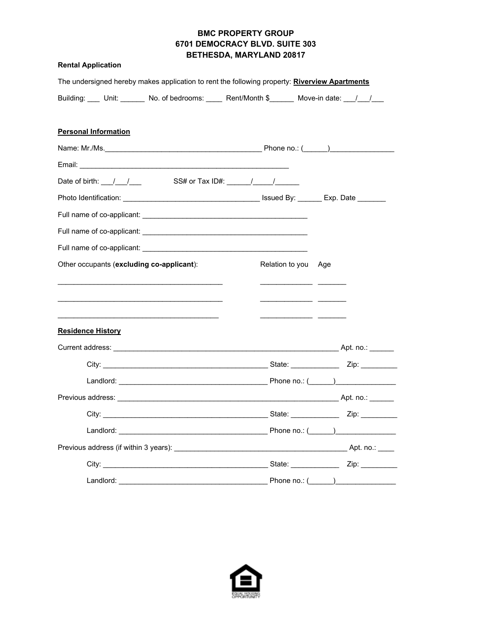### **BMC PROPERTY GROUP 6701 DEMOCRACY BLVD. SUITE 303 BETHESDA, MARYLAND 20817**

|  |  | <b>Rental Application</b> |
|--|--|---------------------------|
|--|--|---------------------------|

|                                                                            | The undersigned hereby makes application to rent the following property: Riverview Apartments |
|----------------------------------------------------------------------------|-----------------------------------------------------------------------------------------------|
|                                                                            | Building: Unit: No. of bedrooms: Neert/Month \$ Move-in date: Now                             |
|                                                                            |                                                                                               |
| <b>Personal Information</b>                                                |                                                                                               |
|                                                                            |                                                                                               |
|                                                                            |                                                                                               |
| Date of birth: $\frac{1}{\sqrt{2}}$ / SS# or Tax ID#: $\frac{1}{\sqrt{2}}$ |                                                                                               |
|                                                                            |                                                                                               |
|                                                                            |                                                                                               |
|                                                                            |                                                                                               |
|                                                                            |                                                                                               |
| Other occupants (excluding co-applicant):                                  | Relation to you Age                                                                           |
|                                                                            |                                                                                               |
|                                                                            |                                                                                               |
|                                                                            |                                                                                               |
| <b>Residence History</b>                                                   |                                                                                               |
|                                                                            |                                                                                               |
|                                                                            |                                                                                               |
|                                                                            |                                                                                               |
|                                                                            |                                                                                               |
|                                                                            |                                                                                               |
|                                                                            |                                                                                               |
|                                                                            |                                                                                               |
|                                                                            |                                                                                               |
| Landlord:                                                                  | Phone no.: $(\_\_\_\_\_$                                                                      |

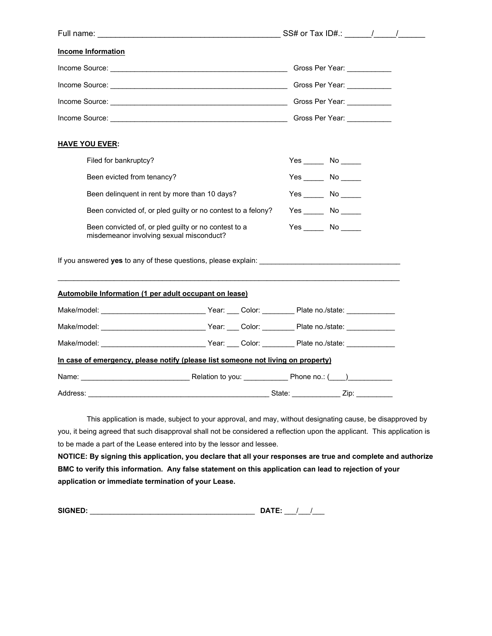| <b>Income Information</b>                                                                                                                                                                                                      |  |  |                 |                        |  |
|--------------------------------------------------------------------------------------------------------------------------------------------------------------------------------------------------------------------------------|--|--|-----------------|------------------------|--|
|                                                                                                                                                                                                                                |  |  |                 |                        |  |
|                                                                                                                                                                                                                                |  |  |                 |                        |  |
|                                                                                                                                                                                                                                |  |  |                 |                        |  |
| Income Source: Contract of the Contract of Contract of Contract of Contract of Contract of Contract of Contract of Contract of Contract of Contract of Contract of Contract of Contract of Contract of Contract of Contract of |  |  |                 |                        |  |
| <b>HAVE YOU EVER:</b>                                                                                                                                                                                                          |  |  |                 |                        |  |
| Filed for bankruptcy?                                                                                                                                                                                                          |  |  |                 | $Yes \_\_\_ No \_\_\_$ |  |
| Been evicted from tenancy?                                                                                                                                                                                                     |  |  |                 |                        |  |
| Been delinquent in rent by more than 10 days?                                                                                                                                                                                  |  |  |                 | $Yes$ No $\_\_$        |  |
| Been convicted of, or pled guilty or no contest to a felony?                                                                                                                                                                   |  |  |                 | $Yes$ No $\qquad$      |  |
| Been convicted of, or pled guilty or no contest to a<br>misdemeanor involving sexual misconduct?                                                                                                                               |  |  | $Yes$ No $\_\_$ |                        |  |
| If you answered <b>yes</b> to any of these questions, please explain:                                                                                                                                                          |  |  |                 |                        |  |
| Automobile Information (1 per adult occupant on lease)                                                                                                                                                                         |  |  |                 |                        |  |
|                                                                                                                                                                                                                                |  |  |                 |                        |  |
| Make/model: ___________________________________Year: ____ Color: ___________ Plate no./state: ____________                                                                                                                     |  |  |                 |                        |  |
|                                                                                                                                                                                                                                |  |  |                 |                        |  |
| In case of emergency, please notify (please list someone not living on property)                                                                                                                                               |  |  |                 |                        |  |
| Name: 2008. [2013] Name: 2014 [2014] Relation to you: 2014 [2014] Phone no.: (2014)                                                                                                                                            |  |  |                 |                        |  |
| Address:                                                                                                                                                                                                                       |  |  | State:          | Zip:                   |  |

This application is made, subject to your approval, and may, without designating cause, be disapproved by you, it being agreed that such disapproval shall not be considered a reflection upon the applicant. This application is to be made a part of the Lease entered into by the lessor and lessee.

**NOTICE: By signing this application, you declare that all your responses are true and complete and authorize BMC to verify this information. Any false statement on this application can lead to rejection of your application or immediate termination of your Lease.** 

| <b>SIGNED:</b> |  |
|----------------|--|
|                |  |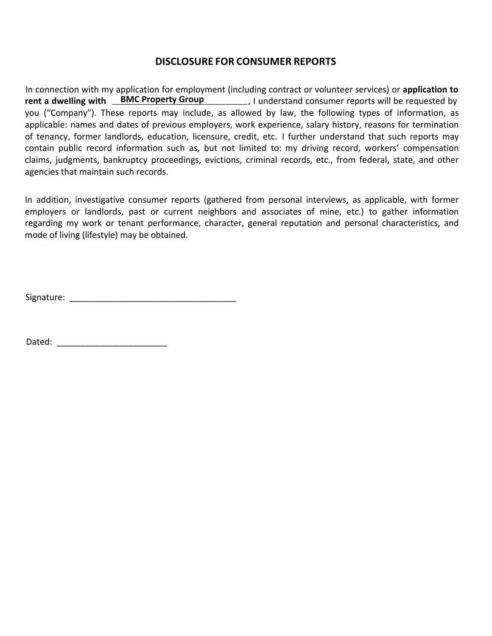## **DISCLOSURE FOR CONSUMER REPORTS**

In connection with my application for employment (including contract or volunteer services) or **application to** rent a dwelling with **BMC Property Group** [1] understand consumer reports will be requested by you ("Company"). These reports may include, as allowed by law, the following types of information, as applicable: names and dates of previous employers, work experience, salary history, reasons for termination of tenancy, former landlords, education, licensure, credit, etc. I further understand that such reports may contain public record information such as, but not limited to: my driving record, workers' compensation claims, judgments, bankruptcy proceedings, evictions, criminal records, etc., from federal, state, and other agencies that maintain such records.

In addition, investigative consumer reports (gathered from personal interviews, as applicable, with former employers or landlords, past or current neighbors and associates of mine, etc.) to gather information regarding my work or tenant performance, character, general reputation and personal characteristics, and mode of living (lifestyle) may be obtained.

Signature:  $\Box$ 

Dated: \_\_\_\_\_\_\_\_\_\_\_\_\_\_\_\_\_\_\_\_\_\_\_